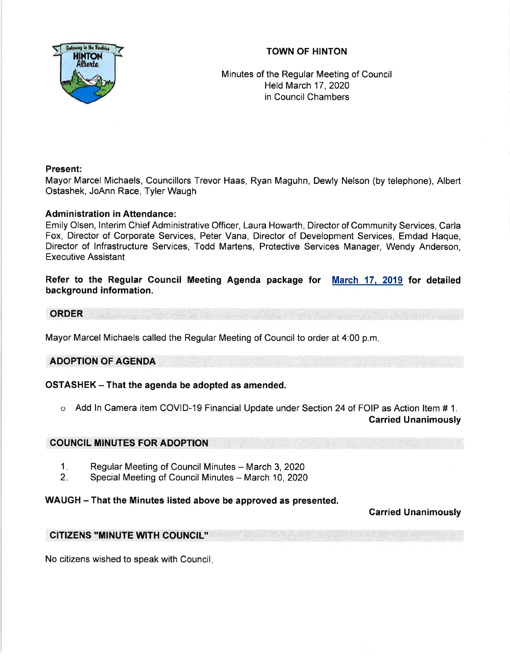## TOWN OF HINTON



Minutes of the Regular Meeting of Council Held March 17,2O2Q in Council Chambers

## Present:

Mayor Marcel Michaels, Councillors Trevor Haas, Ryan Maguhn, Dewly Nelson (by telephone), Albert Ostashek, JoAnn Race, Tyler Waugh

## Administration in Attendance:

Emily Olsen, lnterim Chief Administrative Officer, Laura Howarth, Director of Community Services, Carla Fox, Director of Corporate Services, Peter Vana, Director of Development Services, Emdad Haque, Director of lnfrastructure Services, Todd Martens, Protective Services Manager, Wendy Anderson, Executive Assistant

Refer to the Regular Council Meeting Agenda package for <u>March 17, 2019</u> for detailed background information.

#### ORDER

Mayor Marcel Michaels called the Regular Meeting of Council to order at 4:00 p.m

# ADOPTION OF AGENDA

## OSTASHEK - That the agenda be adopted as amended.

Add ln Camera item COVID-19 Financial Update under Section 24 of FOIP as Action ltem # 1. Garried Unanimously

## COUNCIL MINUTES FOR ADOPTION

- Regular Meeting of Council Minutes March 3, 2020  $1<sub>n</sub>$
- Special Meeting of Council Minutes March 10, 2020  $2.$

## WAUGH - That the Minutes listed above be approved as presented.

## Garried Unanimously

CITIZENS ''MINUTE WTH COUNCIL"

No citizens wished to speak with Council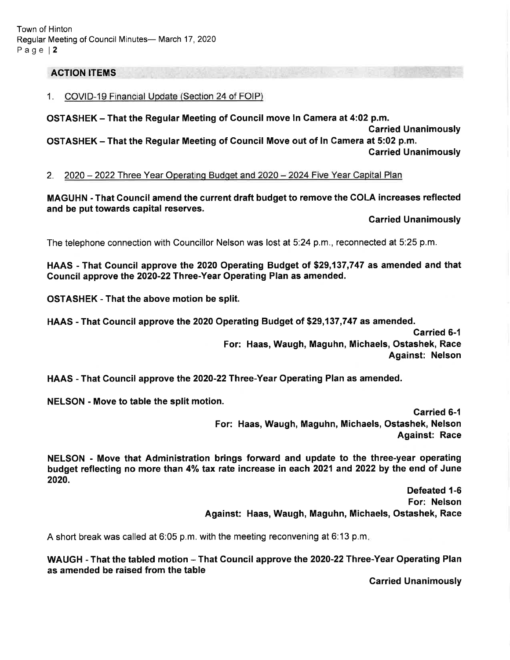## ACTION ITEMS

1. COVID-19 Financial Update (Section 24 of FOIP)

OSTASHEK - That the Regular Meeting of Gouncil move ln Camera at 4:02 p.m.

Carried Unanimously OSTASHEK - That the Regular Meeting of Gouncil Move out of ln Gamera at 5:02 p.m. Carried Unanimously

2. 2020 - 2022 Three Year Operating Budget and 2020 - 2024 Five Year Capital Plan

MAGUHN - That Gouncil amend the current draft budget to remove the GOLA increases reflected and be put towards capital reserves.

Carried Unanimously

The telephone connection with Councillor Nelson was lost at 5:24 p.m., reconnected at 5:25 p.m.

HAAS -That Gouncil approve the 2020 Operating Budget of \$29,137,747 as amended and that Gouncil approve the 2020-22 Three-Year Operating Plan as amended.

OSTASHEK - That the above motion be split.

HAAS - That Gouncil approve the 2020 Operating Budget of \$29,137,747 as amended.

Carried 6-1 For: Haas, Waugh, Maguhn, Michaels, Ostashek, Race Against: Nelson

HAAS - That Council approve the 2020-22 Three-Year Operating Plan as amended.

NELSON - Move to table the split motion.

Garried 6-1 For: Haas, Waugh, Maguhn, Michaels, Ostashek, Nelson Against: Race

NELSON - Move that Administration brings forward and update to the three-year operating budget reflecting no more than 4% tax rate increase in each 2021 and 2022 by the end of June 2020.

> Defeated 1-6 For: Nelson Against: Haas, Waugh, Maguhn, Michaels, Ostashek, Race

A short break was called at 6:05 p.m. with the meeting reconvening at 6:13 p.m

WAUGH - That the tabled motion - That Council approve the 2020-22 Three-Year Operating Plan as amended be raised from the table

Garried Unanimously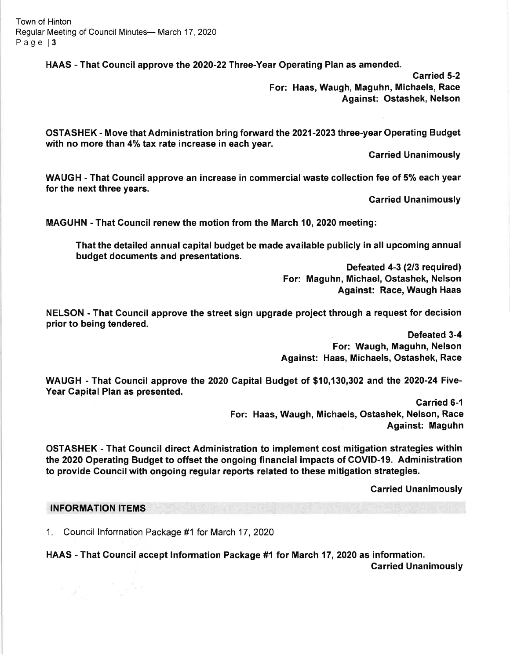Town of Hinton Regular Meeting of Council Minutes- March 17, 2020 Page | 3

HAAS - That Council approve the 2020-22 Three-Year Operating Plan as amended.

Carried 5-2 For: Haas, Waugh, Maguhn, Michaels, Race Against: Ostashek, Nelson

OSTASHEK - Move that Administration bring forward the 2021-2023 three-year Operating Budget with no more than 4% tax rate increase in each year.

Carried Unanimously

WAUGH - That Gouncil approve an increase in commercialwaste collection fee of 5% each year for the next three years.

Garried Unanimously

MAGUHN - That Council renew the motion from the March 10,2020 meeting:

That the detailed annual capital budget be made available publicly in all upcoming annual budget documents and presentations.

> Defeated 4-3 (213 required) For: Maguhn, Michael, Ostashek, Nelson Against: Race, Waugh Haas

NELSON - That Gouncil approve the street sign upgrade project through a request for decision prior to being tendered.

> Defeated 3-4 For: Waugh, Maguhn, Nelson Against: Haas, Michaels, Ostashek, Race

WAUGH - That Gouncil approve the 2020 Gapital Budget of \$10,130,302 and the 2020-24 Five-Year Capital Plan as presented.

> Carried 6-1 For: Haas, Waugh, Michaels, Ostashek, Nelson, Race Against: Maguhn

OSTASHEK - That Gouncil direct Administration to implement cost mitigation strategies within the 2020 Operating Budget to offset the ongoing financial impacts of COVID-19. Administration to provide Council with ongoing regular reports related to these mitigation strategies.

Carried Unanimously

#### INFORMATION ITEMS

1. Council lnforrnation Package #1 for March 17,2020

HAAS - That Gouncil accept lnformation Package #1 tor March 17,2020 as information.

Garried Unanimously